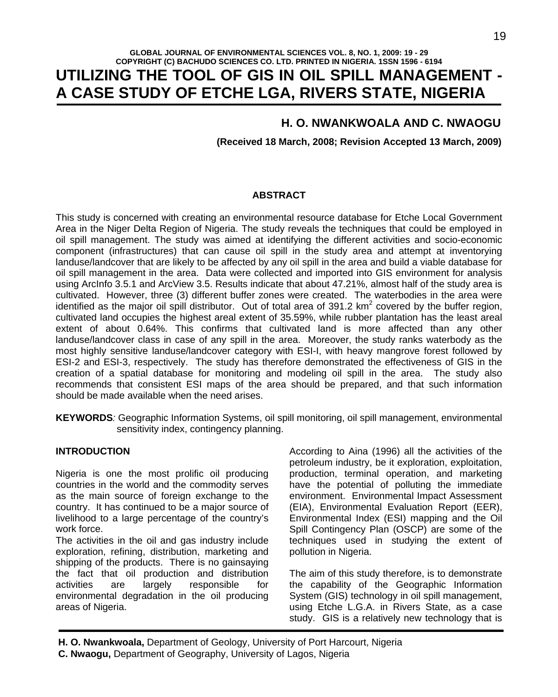# **GLOBAL JOURNAL OF ENVIRONMENTAL SCIENCES VOL. 8, NO. 1, 2009: 19 - 29 COPYRIGHT (C) BACHUDO SCIENCES CO. LTD. PRINTED IN NIGERIA. 1SSN 1596 - 6194 UTILIZING THE TOOL OF GIS IN OIL SPILL MANAGEMENT - A CASE STUDY OF ETCHE LGA, RIVERS STATE, NIGERIA**

# **H. O. NWANKWOALA AND C. NWAOGU**

# **(Received 18 March, 2008; Revision Accepted 13 March, 2009)**

## **ABSTRACT**

This study is concerned with creating an environmental resource database for Etche Local Government Area in the Niger Delta Region of Nigeria. The study reveals the techniques that could be employed in oil spill management. The study was aimed at identifying the different activities and socio-economic component (infrastructures) that can cause oil spill in the study area and attempt at inventorying landuse/landcover that are likely to be affected by any oil spill in the area and build a viable database for oil spill management in the area. Data were collected and imported into GIS environment for analysis using ArcInfo 3.5.1 and ArcView 3.5. Results indicate that about 47.21%, almost half of the study area is cultivated. However, three (3) different buffer zones were created. The waterbodies in the area were identified as the major oil spill distributor. Out of total area of 391.2 km<sup>2</sup> covered by the buffer region, cultivated land occupies the highest areal extent of 35.59%, while rubber plantation has the least areal extent of about 0.64%. This confirms that cultivated land is more affected than any other landuse/landcover class in case of any spill in the area. Moreover, the study ranks waterbody as the most highly sensitive landuse/landcover category with ESI-I, with heavy mangrove forest followed by ESI-2 and ESI-3, respectively. The study has therefore demonstrated the effectiveness of GIS in the creation of a spatial database for monitoring and modeling oil spill in the area. The study also recommends that consistent ESI maps of the area should be prepared, and that such information should be made available when the need arises.

**KEYWORDS***:* Geographic Information Systems, oil spill monitoring, oil spill management, environmental sensitivity index, contingency planning.

## **INTRODUCTION**

Nigeria is one the most prolific oil producing countries in the world and the commodity serves as the main source of foreign exchange to the country. It has continued to be a major source of livelihood to a large percentage of the country's work force.

The activities in the oil and gas industry include exploration, refining, distribution, marketing and shipping of the products. There is no gainsaying the fact that oil production and distribution activities are largely responsible for environmental degradation in the oil producing areas of Nigeria.

According to Aina (1996) all the activities of the petroleum industry, be it exploration, exploitation, production, terminal operation, and marketing have the potential of polluting the immediate environment. Environmental Impact Assessment (EIA), Environmental Evaluation Report (EER), Environmental Index (ESI) mapping and the Oil Spill Contingency Plan (OSCP) are some of the techniques used in studying the extent of pollution in Nigeria.

The aim of this study therefore, is to demonstrate the capability of the Geographic Information System (GIS) technology in oil spill management, using Etche L.G.A. in Rivers State, as a case study. GIS is a relatively new technology that is

**H. O. Nwankwoala,** Department of Geology, University of Port Harcourt, Nigeria **C. Nwaogu,** Department of Geography, University of Lagos, Nigeria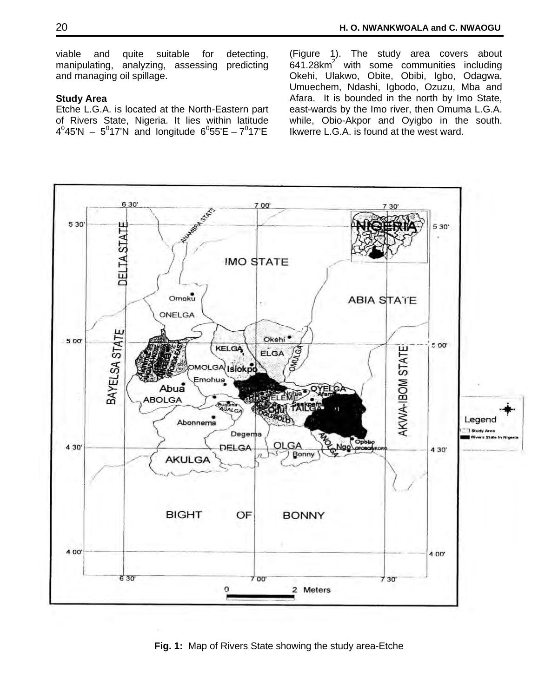viable and quite suitable for detecting, manipulating, analyzing, assessing predicting and managing oil spillage.

### **Study Area**

Etche L.G.A. is located at the North-Eastern part of Rivers State, Nigeria. It lies within latitude  $4^0 45' N - 5^0 17' N$  and longitude  $6^0 55' E - 7^0 17' E$ 

(Figure 1). The study area covers about  $641.28$ km<sup>2</sup> with some communities including Okehi, Ulakwo, Obite, Obibi, Igbo, Odagwa, Umuechem, Ndashi, Igbodo, Ozuzu, Mba and Afara. It is bounded in the north by Imo State, east-wards by the Imo river, then Omuma L.G.A. while, Obio-Akpor and Oyigbo in the south. Ikwerre L.G.A. is found at the west ward.



**Fig. 1:** Map of Rivers State showing the study area-Etche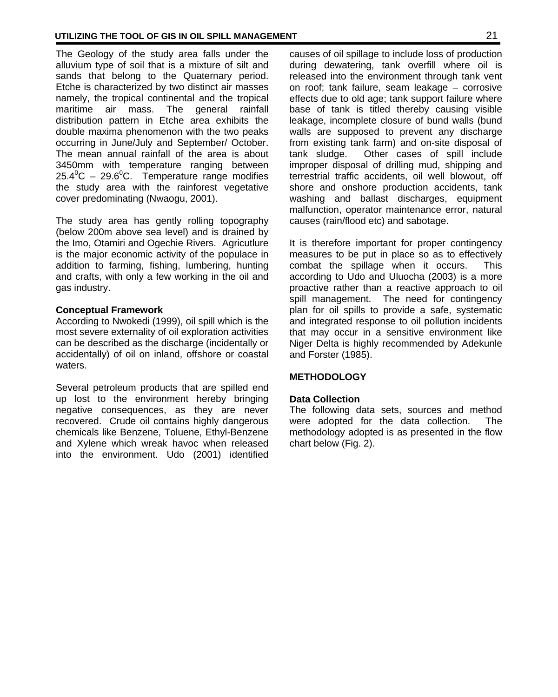The Geology of the study area falls under the alluvium type of soil that is a mixture of silt and sands that belong to the Quaternary period. Etche is characterized by two distinct air masses namely, the tropical continental and the tropical maritime air mass. The general rainfall distribution pattern in Etche area exhibits the double maxima phenomenon with the two peaks occurring in June/July and September/ October. The mean annual rainfall of the area is about 3450mm with temperature ranging between  $25.4^{\circ}$ C – 29.6 $^{\circ}$ C. Temperature range modifies the study area with the rainforest vegetative cover predominating (Nwaogu, 2001).

The study area has gently rolling topography (below 200m above sea level) and is drained by the Imo, Otamiri and Ogechie Rivers. Agricutlure is the major economic activity of the populace in addition to farming, fishing, lumbering, hunting and crafts, with only a few working in the oil and gas industry.

### **Conceptual Framework**

According to Nwokedi (1999), oil spill which is the most severe externality of oil exploration activities can be described as the discharge (incidentally or accidentally) of oil on inland, offshore or coastal waters.

Several petroleum products that are spilled end up lost to the environment hereby bringing negative consequences, as they are never recovered. Crude oil contains highly dangerous chemicals like Benzene, Toluene, Ethyl-Benzene and Xylene which wreak havoc when released into the environment. Udo (2001) identified

causes of oil spillage to include loss of production during dewatering, tank overfill where oil is released into the environment through tank vent on roof; tank failure, seam leakage – corrosive effects due to old age; tank support failure where base of tank is titled thereby causing visible leakage, incomplete closure of bund walls (bund walls are supposed to prevent any discharge from existing tank farm) and on-site disposal of tank sludge. Other cases of spill include improper disposal of drilling mud, shipping and terrestrial traffic accidents, oil well blowout, off shore and onshore production accidents, tank washing and ballast discharges, equipment malfunction, operator maintenance error, natural causes (rain/flood etc) and sabotage.

It is therefore important for proper contingency measures to be put in place so as to effectively combat the spillage when it occurs. This according to Udo and Uluocha (2003) is a more proactive rather than a reactive approach to oil spill management. The need for contingency plan for oil spills to provide a safe, systematic and integrated response to oil pollution incidents that may occur in a sensitive environment like Niger Delta is highly recommended by Adekunle and Forster (1985).

#### **METHODOLOGY**

#### **Data Collection**

The following data sets, sources and method were adopted for the data collection. The methodology adopted is as presented in the flow chart below (Fig. 2).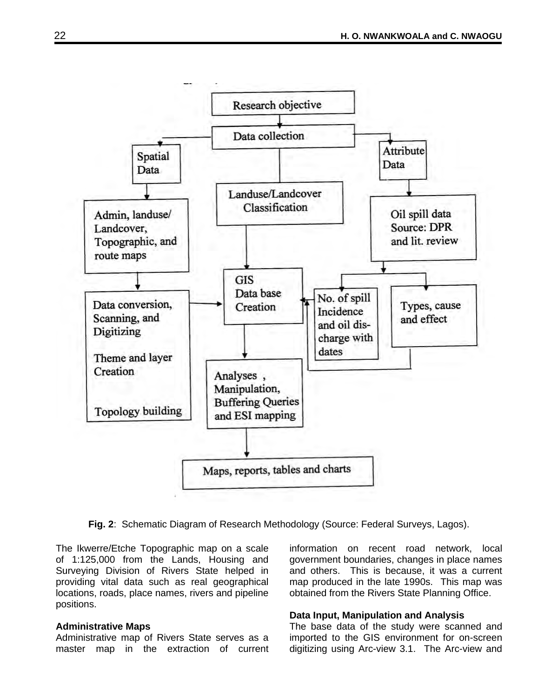

**Fig. 2**: Schematic Diagram of Research Methodology (Source: Federal Surveys, Lagos).

The Ikwerre/Etche Topographic map on a scale of 1:125,000 from the Lands, Housing and Surveying Division of Rivers State helped in providing vital data such as real geographical locations, roads, place names, rivers and pipeline positions.

#### **Administrative Maps**

Administrative map of Rivers State serves as a master map in the extraction of current

information on recent road network, local government boundaries, changes in place names and others. This is because, it was a current map produced in the late 1990s. This map was obtained from the Rivers State Planning Office.

### **Data Input, Manipulation and Analysis**

The base data of the study were scanned and imported to the GIS environment for on-screen digitizing using Arc-view 3.1. The Arc-view and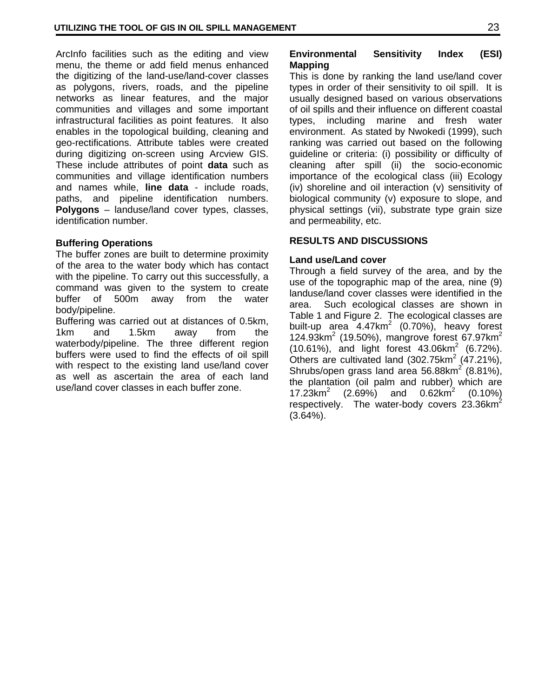ArcInfo facilities such as the editing and view menu, the theme or add field menus enhanced the digitizing of the land-use/land-cover classes as polygons, rivers, roads, and the pipeline networks as linear features, and the major communities and villages and some important infrastructural facilities as point features. It also enables in the topological building, cleaning and geo-rectifications. Attribute tables were created during digitizing on-screen using Arcview GIS. These include attributes of point **data** such as communities and village identification numbers and names while, **line data** - include roads, paths, and pipeline identification numbers. **Polygons** – landuse/land cover types, classes, identification number.

### **Buffering Operations**

The buffer zones are built to determine proximity of the area to the water body which has contact with the pipeline. To carry out this successfully, a command was given to the system to create buffer of 500m away from the water body/pipeline.

Buffering was carried out at distances of 0.5km, 1km and 1.5km away from the waterbody/pipeline. The three different region buffers were used to find the effects of oil spill with respect to the existing land use/land cover as well as ascertain the area of each land use/land cover classes in each buffer zone.

# **Environmental Sensitivity Index (ESI) Mapping**

This is done by ranking the land use/land cover types in order of their sensitivity to oil spill. It is usually designed based on various observations of oil spills and their influence on different coastal types, including marine and fresh water environment. As stated by Nwokedi (1999), such ranking was carried out based on the following guideline or criteria: (i) possibility or difficulty of cleaning after spill (ii) the socio-economic importance of the ecological class (iii) Ecology (iv) shoreline and oil interaction (v) sensitivity of biological community (v) exposure to slope, and physical settings (vii), substrate type grain size and permeability, etc.

# **RESULTS AND DISCUSSIONS**

#### **Land use/Land cover**

Through a field survey of the area, and by the use of the topographic map of the area, nine (9) landuse/land cover classes were identified in the area. Such ecological classes are shown in Table 1 and Figure 2. The ecological classes are built-up area  $4.47$ km<sup>2</sup> (0.70%), heavy forest 124.93km<sup>2</sup> (19.50%), mangrove forest 67.97km<sup>2</sup>  $(10.61\%)$ , and light forest 43.06km<sup>2</sup> (6.72%). Others are cultivated land  $(302.75 \text{km}^2 \ (47.21\%),$ Shrubs/open grass land area 56.88 $km^2$  (8.81%), the plantation (oil palm and rubber) which are  $17.23 \text{km}^2$  (2.69%) and 0.62km<sup>2</sup> (0.10%) respectively. The water-body covers 23.36 $km<sup>2</sup>$ (3.64%).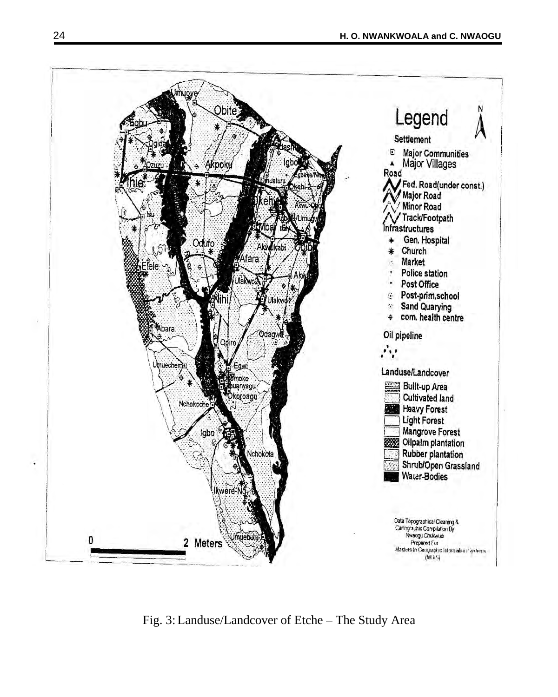

Fig. 3: Landuse/Landcover of Etche – The Study Area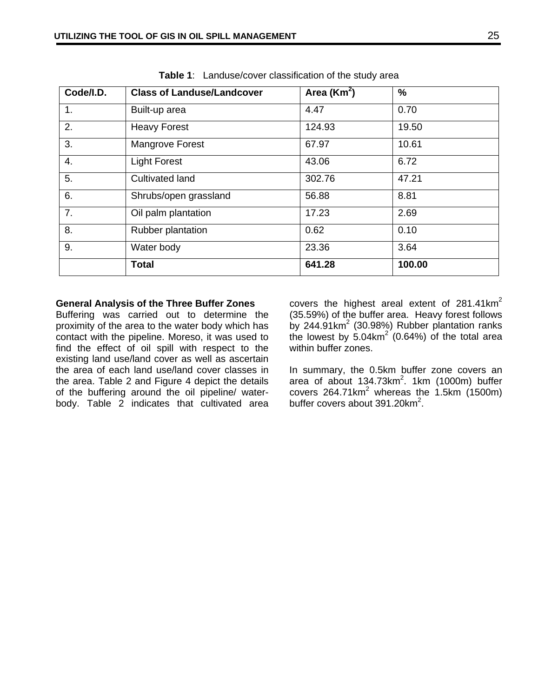| Code/I.D. | <b>Class of Landuse/Landcover</b> | Area $(Km^2)$ | %      |
|-----------|-----------------------------------|---------------|--------|
| 1.        | Built-up area                     | 4.47          | 0.70   |
| 2.        | <b>Heavy Forest</b>               | 124.93        | 19.50  |
| 3.        | Mangrove Forest                   | 67.97         | 10.61  |
| 4.        | <b>Light Forest</b>               | 43.06         | 6.72   |
| 5.        | Cultivated land                   | 302.76        | 47.21  |
| 6.        | Shrubs/open grassland             | 56.88         | 8.81   |
| 7.        | Oil palm plantation               | 17.23         | 2.69   |
| 8.        | Rubber plantation                 | 0.62          | 0.10   |
| 9.        | Water body                        | 23.36         | 3.64   |
|           | <b>Total</b>                      | 641.28        | 100.00 |

**Table 1**: Landuse/cover classification of the study area

### **General Analysis of the Three Buffer Zones**

Buffering was carried out to determine the proximity of the area to the water body which has contact with the pipeline. Moreso, it was used to find the effect of oil spill with respect to the existing land use/land cover as well as ascertain the area of each land use/land cover classes in the area. Table 2 and Figure 4 depict the details of the buffering around the oil pipeline/ waterbody. Table 2 indicates that cultivated area

covers the highest areal extent of  $281.41 \text{km}^2$ (35.59%) of the buffer area. Heavy forest follows by 244.91km<sup>2</sup> (30.98%) Rubber plantation ranks the lowest by  $5.04 \text{km}^2$  (0.64%) of the total area within buffer zones.

In summary, the 0.5km buffer zone covers an area of about 134.73 $km^2$ . 1km (1000m) buffer covers 264.71 $km^2$  whereas the 1.5km (1500m) buffer covers about 391.20km<sup>2</sup>.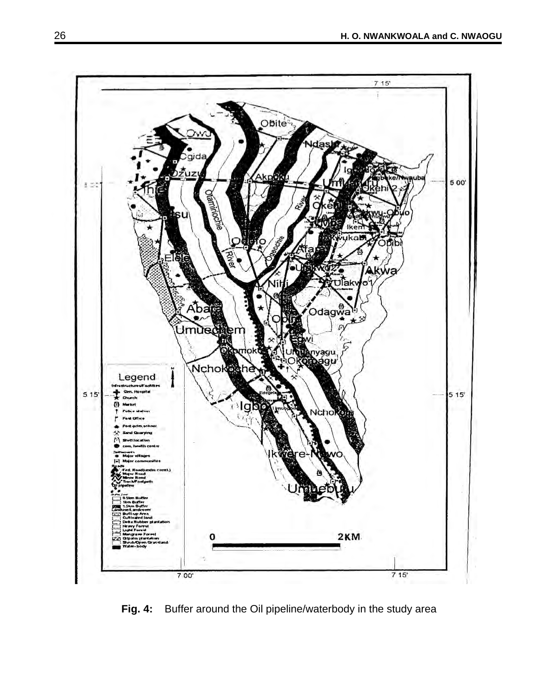

**Fig. 4:** Buffer around the Oil pipeline/waterbody in the study area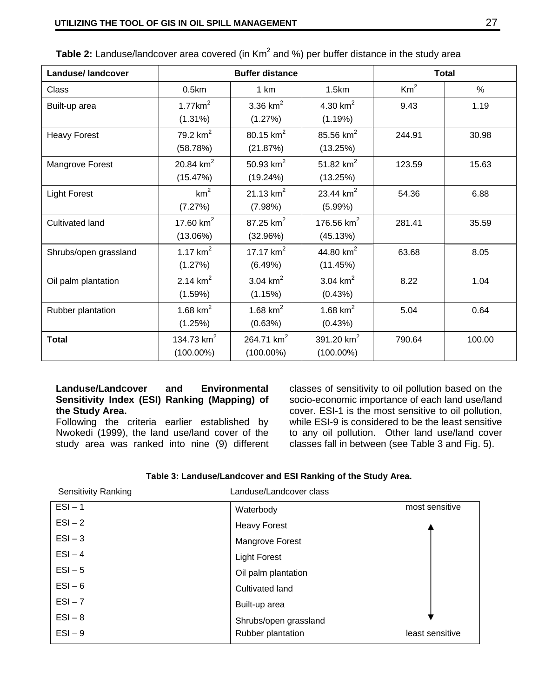| Landuse/ landcover     | <b>Buffer distance</b> |                        |                        | <b>Total</b>    |        |
|------------------------|------------------------|------------------------|------------------------|-----------------|--------|
| Class                  | 0.5km                  | 1 km                   | 1.5km                  | Km <sup>2</sup> | %      |
| Built-up area          | $1.77$ km <sup>2</sup> | 3.36 $km^2$            | 4.30 $km2$             | 9.43            | 1.19   |
|                        | $(1.31\%)$             | (1.27%)                | (1.19%)                |                 |        |
| <b>Heavy Forest</b>    | 79.2 $km^2$            | 80.15 $km^2$           | 85.56 km <sup>2</sup>  | 244.91          | 30.98  |
|                        | (58.78%)               | (21.87%)               | (13.25%)               |                 |        |
| Mangrove Forest        | 20.84 $km^2$           | 50.93 $km^2$           | 51.82 $km^2$           | 123.59          | 15.63  |
|                        | (15.47%)               | (19.24%)               | (13.25%)               |                 |        |
| <b>Light Forest</b>    | km <sup>2</sup>        | 21.13 $km^2$           | 23.44 $km^2$           | 54.36           | 6.88   |
|                        | (7.27%)                | (7.98%)                | (5.99%)                |                 |        |
| <b>Cultivated land</b> | 17.60 $km^2$           | 87.25 $km^2$           | 176.56 $km^2$          | 281.41          | 35.59  |
|                        | (13.06%)               | (32.96%)               | (45.13%)               |                 |        |
| Shrubs/open grassland  | 1.17 $km^2$            | 17.17 $km^2$           | 44.80 km <sup>2</sup>  | 63.68           | 8.05   |
|                        | (1.27%)                | (6.49%)                | (11.45%)               |                 |        |
| Oil palm plantation    | 2.14 $km^2$            | 3.04 $km^2$            | 3.04 $km^2$            | 8.22            | 1.04   |
|                        | (1.59%)                | (1.15%)                | (0.43%)                |                 |        |
| Rubber plantation      | 1.68 $km2$             | 1.68 $km2$             | 1.68 $km^2$            | 5.04            | 0.64   |
|                        | (1.25%)                | (0.63%)                | (0.43%)                |                 |        |
| <b>Total</b>           | 134.73 $km^2$          | 264.71 km <sup>2</sup> | 391.20 km <sup>2</sup> | 790.64          | 100.00 |
|                        | $(100.00\%)$           | $(100.00\%)$           | $(100.00\%)$           |                 |        |

### **Landuse/Landcover and Environmental Sensitivity Index (ESI) Ranking (Mapping) of the Study Area.**

Following the criteria earlier established by Nwokedi (1999), the land use/land cover of the study area was ranked into nine (9) different classes of sensitivity to oil pollution based on the socio-economic importance of each land use/land cover. ESI-1 is the most sensitive to oil pollution, while ESI-9 is considered to be the least sensitive to any oil pollution. Other land use/land cover classes fall in between (see Table 3 and Fig. 5).

| Table 3: Landuse/Landcover and ESI Ranking of the Study Area. |  |  |
|---------------------------------------------------------------|--|--|
|---------------------------------------------------------------|--|--|

| <b>Sensitivity Ranking</b> | Landuse/Landcover class |                 |
|----------------------------|-------------------------|-----------------|
| $ESI - 1$                  | Waterbody               | most sensitive  |
| $ESI - 2$                  | <b>Heavy Forest</b>     |                 |
| $ESI - 3$                  | Mangrove Forest         |                 |
| $ESI - 4$                  | <b>Light Forest</b>     |                 |
| $ESI - 5$                  | Oil palm plantation     |                 |
| $ESI - 6$                  | Cultivated land         |                 |
| $ESI - 7$                  | Built-up area           |                 |
| $ESI - 8$                  | Shrubs/open grassland   |                 |
| $ESI - 9$                  | Rubber plantation       | least sensitive |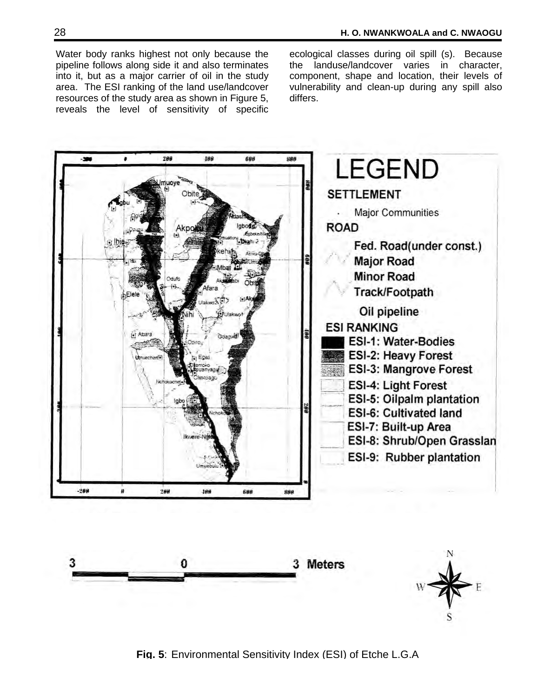Water body ranks highest not only because the pipeline follows along side it and also terminates into it, but as a major carrier of oil in the study area. The ESI ranking of the land use/landcover resources of the study area as shown in Figure 5, reveals the level of sensitivity of specific ecological classes during oil spill (s). Because the landuse/landcover varies in character, component, shape and location, their levels of vulnerability and clean-up during any spill also differs.



**Fig. 5**: Environmental Sensitivity Index (ESI) of Etche L.G.A